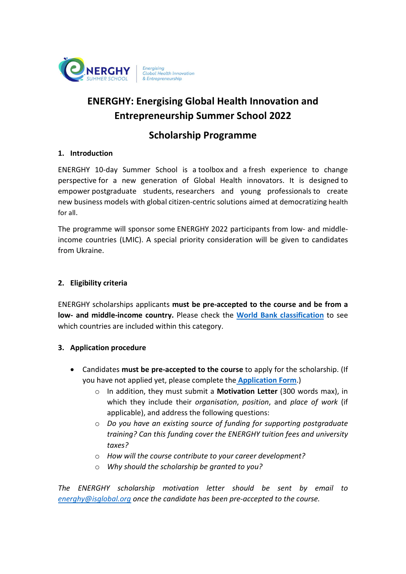

# ENERGHY: Energising Global Health Innovation and Entrepreneurship Summer School 2022

## Scholarship Programme

### 1. Introduction

ENERGHY 10-day Summer School is a toolbox and a fresh experience to change perspective for a new generation of Global Health innovators. It is designed to empower postgraduate students, researchers and young professionals to create new business models with global citizen-centric solutions aimed at democratizing health for all.

The programme will sponsor some ENERGHY 2022 participants from low- and middleincome countries (LMIC). A special priority consideration will be given to candidates from Ukraine.

### 2. Eligibility criteria

ENERGHY scholarships applicants must be pre-accepted to the course and be from a low- and middle-income country. Please check the World Bank classification to see which countries are included within this category.

### 3. Application procedure

- Candidates must be pre-accepted to the course to apply for the scholarship. (If you have not applied yet, please complete the **Application Form**.)
	- o In addition, they must submit a Motivation Letter (300 words max), in which they include their organisation, position, and place of work (if applicable), and address the following questions:
	- o Do you have an existing source of funding for supporting postgraduate training? Can this funding cover the ENERGHY tuition fees and university taxes?
	- o How will the course contribute to your career development?
	- o Why should the scholarship be granted to you?

The ENERGHY scholarship motivation letter should be sent by email to energhy@isglobal.org once the candidate has been pre-accepted to the course.